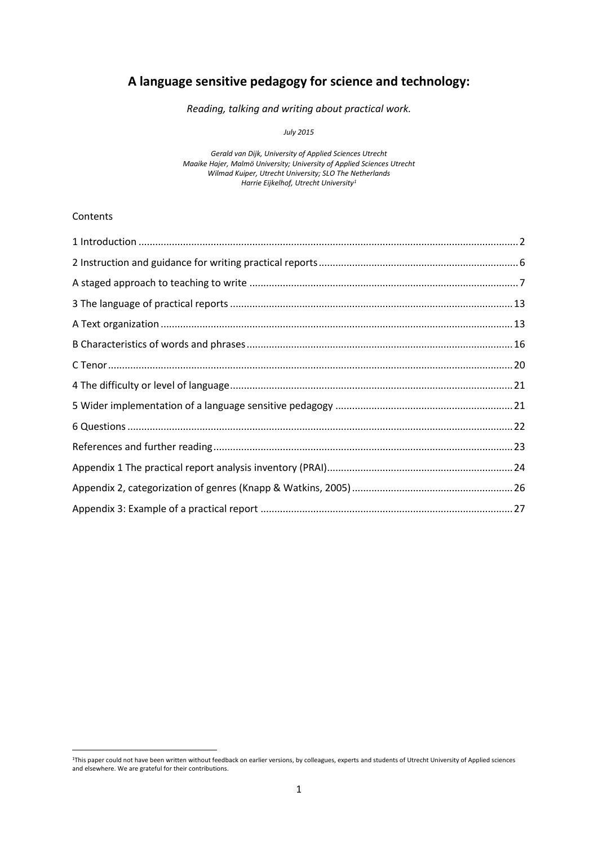# **A language sensitive pedagogy for science and technology:**

*Reading, talking and writing about practical work.*

*July 2015*

*Gerald van Dijk, University of Applied Sciences Utrecht Maaike Hajer, Malmö University; University of Applied Sciences Utrecht Wilmad Kuiper, Utrecht University; SLO The Netherlands Harrie Eijkelhof, Utrecht University<sup>1</sup>*

### Contents

<sup>1</sup>This paper could not have been written without feedback on earlier versions, by colleagues, experts and students of Utrecht University of Applied sciences and elsewhere. We are grateful for their contributions.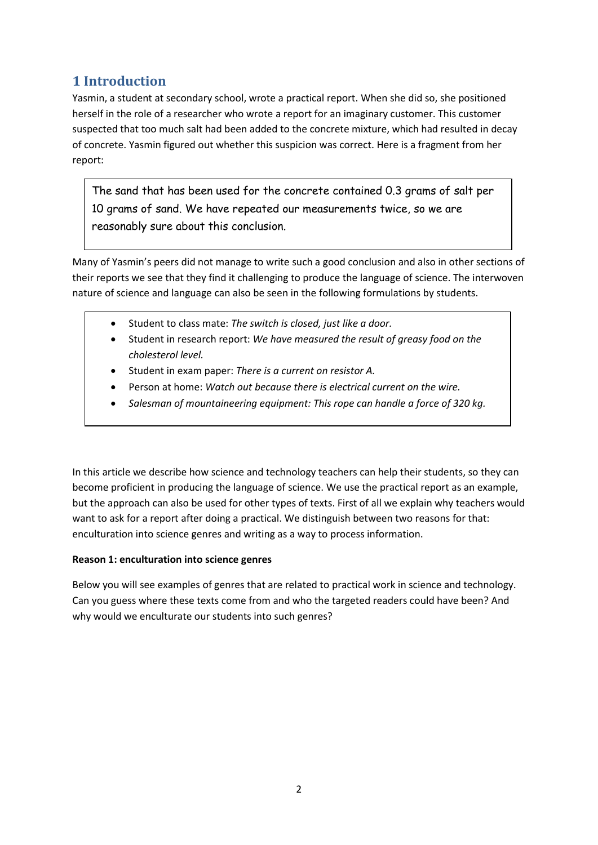# <span id="page-1-0"></span>**1 Introduction**

Yasmin, a student at secondary school, wrote a practical report. When she did so, she positioned herself in the role of a researcher who wrote a report for an imaginary customer. This customer suspected that too much salt had been added to the concrete mixture, which had resulted in decay of concrete. Yasmin figured out whether this suspicion was correct. Here is a fragment from her report:

The sand that has been used for the concrete contained 0.3 grams of salt per 10 grams of sand. We have repeated our measurements twice, so we are reasonably sure about this conclusion.

Many of Yasmin's peers did not manage to write such a good conclusion and also in other sections of their reports we see that they find it challenging to produce the language of science. The interwoven nature of science and language can also be seen in the following formulations by students.

- Student to class mate: *The switch is closed, just like a door.*
- Student in research report: *We have measured the result of greasy food on the cholesterol level.*
- Student in exam paper: *There is a current on resistor A.*
- Person at home: *Watch out because there is electrical current on the wire.*
- *Salesman of mountaineering equipment: This rope can handle a force of 320 kg.*

In this article we describe how science and technology teachers can help their students, so they can become proficient in producing the language of science. We use the practical report as an example, but the approach can also be used for other types of texts. First of all we explain why teachers would want to ask for a report after doing a practical. We distinguish between two reasons for that: enculturation into science genres and writing as a way to process information.

## **Reason 1: enculturation into science genres**

Below you will see examples of genres that are related to practical work in science and technology. Can you guess where these texts come from and who the targeted readers could have been? And why would we enculturate our students into such genres?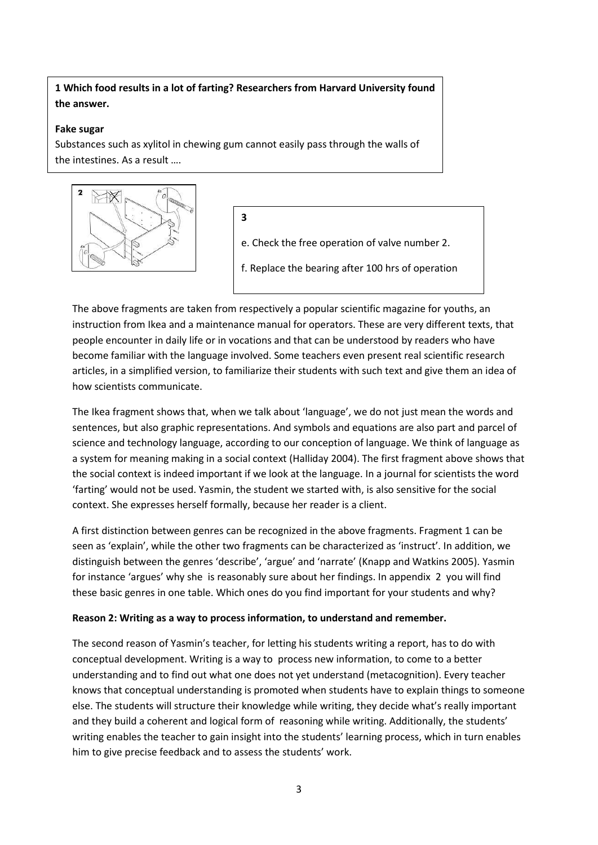## **1 Which food results in a lot of farting? Researchers from Harvard University found the answer.**

### **Fake sugar**

Substances such as xylitol in chewing gum cannot easily pass through the walls of the intestines. As a result ….

**3**



e. Check the free operation of valve number 2.

f. Replace the bearing after 100 hrs of operation

The above fragments are taken from respectively a popular scientific magazine for youths, an instruction from Ikea and a maintenance manual for operators. These are very different texts, that people encounter in daily life or in vocations and that can be understood by readers who have become familiar with the language involved. Some teachers even present real scientific research articles, in a simplified version, to familiarize their students with such text and give them an idea of how scientists communicate.

The Ikea fragment shows that, when we talk about 'language', we do not just mean the words and sentences, but also graphic representations. And symbols and equations are also part and parcel of science and technology language, according to our conception of language. We think of language as a system for meaning making in a social context (Halliday 2004). The first fragment above shows that the social context is indeed important if we look at the language. In a journal for scientists the word 'farting' would not be used. Yasmin, the student we started with, is also sensitive for the social context. She expresses herself formally, because her reader is a client.

A first distinction between genres can be recognized in the above fragments. Fragment 1 can be seen as 'explain', while the other two fragments can be characterized as 'instruct'. In addition, we distinguish between the genres 'describe', 'argue' and 'narrate' (Knapp and Watkins 2005). Yasmin for instance 'argues' why she is reasonably sure about her findings. In appendix 2 you will find these basic genres in one table. Which ones do you find important for your students and why?

## **Reason 2: Writing as a way to process information, to understand and remember.**

The second reason of Yasmin's teacher, for letting his students writing a report, has to do with conceptual development. Writing is a way to process new information, to come to a better understanding and to find out what one does not yet understand (metacognition). Every teacher knows that conceptual understanding is promoted when students have to explain things to someone else. The students will structure their knowledge while writing, they decide what's really important and they build a coherent and logical form of reasoning while writing. Additionally, the students' writing enables the teacher to gain insight into the students' learning process, which in turn enables him to give precise feedback and to assess the students' work.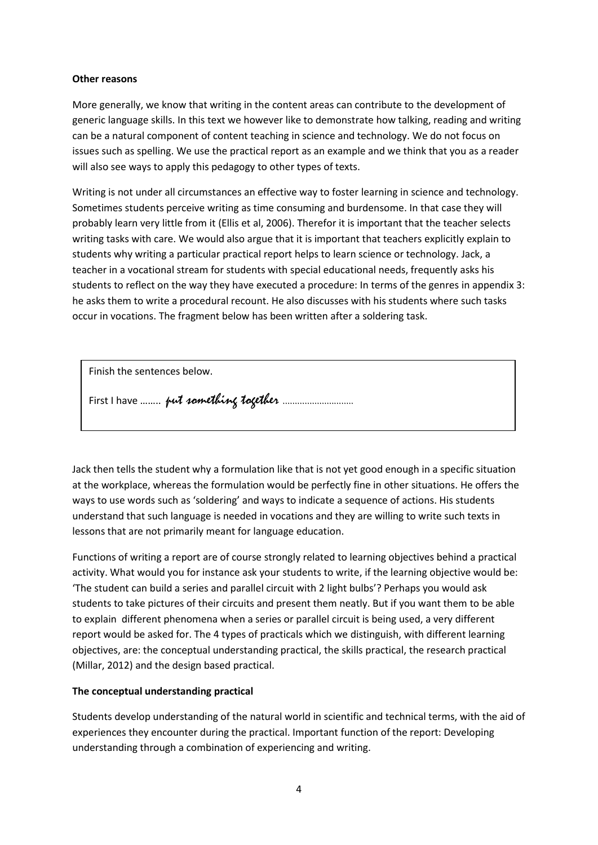#### **Other reasons**

More generally, we know that writing in the content areas can contribute to the development of generic language skills. In this text we however like to demonstrate how talking, reading and writing can be a natural component of content teaching in science and technology. We do not focus on issues such as spelling. We use the practical report as an example and we think that you as a reader will also see ways to apply this pedagogy to other types of texts.

Writing is not under all circumstances an effective way to foster learning in science and technology. Sometimes students perceive writing as time consuming and burdensome. In that case they will probably learn very little from it (Ellis et al, 2006). Therefor it is important that the teacher selects writing tasks with care. We would also argue that it is important that teachers explicitly explain to students why writing a particular practical report helps to learn science or technology. Jack, a teacher in a vocational stream for students with special educational needs, frequently asks his students to reflect on the way they have executed a procedure: In terms of the genres in appendix 3: he asks them to write a procedural recount. He also discusses with his students where such tasks occur in vocations. The fragment below has been written after a soldering task.

Finish the sentences below.

First I have …….. put something together ………………………..

Jack then tells the student why a formulation like that is not yet good enough in a specific situation at the workplace, whereas the formulation would be perfectly fine in other situations. He offers the ways to use words such as 'soldering' and ways to indicate a sequence of actions. His students understand that such language is needed in vocations and they are willing to write such texts in lessons that are not primarily meant for language education.

Functions of writing a report are of course strongly related to learning objectives behind a practical activity. What would you for instance ask your students to write, if the learning objective would be: 'The student can build a series and parallel circuit with 2 light bulbs'? Perhaps you would ask students to take pictures of their circuits and present them neatly. But if you want them to be able to explain different phenomena when a series or parallel circuit is being used, a very different report would be asked for. The 4 types of practicals which we distinguish, with different learning objectives, are: the conceptual understanding practical, the skills practical, the research practical (Millar, 2012) and the design based practical.

### **The conceptual understanding practical**

Students develop understanding of the natural world in scientific and technical terms, with the aid of experiences they encounter during the practical. Important function of the report: Developing understanding through a combination of experiencing and writing.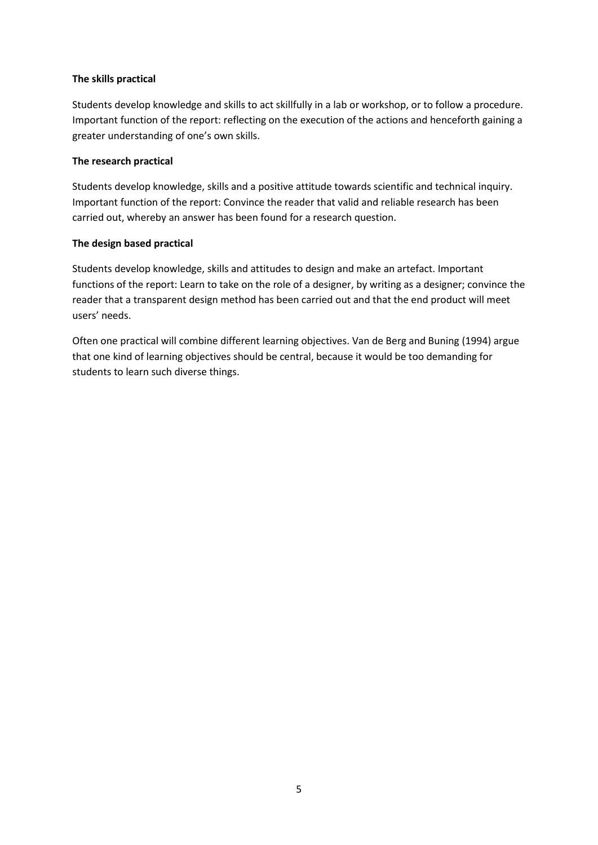### **The skills practical**

Students develop knowledge and skills to act skillfully in a lab or workshop, or to follow a procedure. Important function of the report: reflecting on the execution of the actions and henceforth gaining a greater understanding of one's own skills.

### **The research practical**

Students develop knowledge, skills and a positive attitude towards scientific and technical inquiry. Important function of the report: Convince the reader that valid and reliable research has been carried out, whereby an answer has been found for a research question.

### **The design based practical**

Students develop knowledge, skills and attitudes to design and make an artefact. Important functions of the report: Learn to take on the role of a designer, by writing as a designer; convince the reader that a transparent design method has been carried out and that the end product will meet users' needs.

Often one practical will combine different learning objectives. Van de Berg and Buning (1994) argue that one kind of learning objectives should be central, because it would be too demanding for students to learn such diverse things.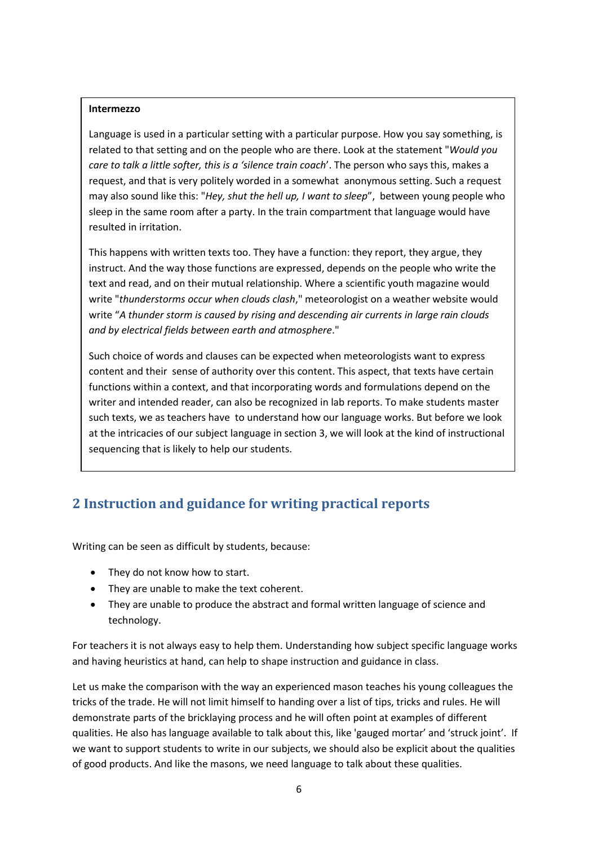#### **Intermezzo**

Language is used in a particular setting with a particular purpose. How you say something, is related to that setting and on the people who are there. Look at the statement "*Would you care to talk a little softer, this is a 'silence train coach*'. The person who says this, makes a request, and that is very politely worded in a somewhat anonymous setting. Such a request may also sound like this: "*Hey, shut the hell up, I want to sleep*", between young people who sleep in the same room after a party. In the train compartment that language would have resulted in irritation.

This happens with written texts too. They have a function: they report, they argue, they instruct. And the way those functions are expressed, depends on the people who write the text and read, and on their mutual relationship. Where a scientific youth magazine would write "*thunderstorms occur when clouds clash*," meteorologist on a weather website would write "*A thunder storm is caused by rising and descending air currents in large rain clouds and by electrical fields between earth and atmosphere*."

Such choice of words and clauses can be expected when meteorologists want to express content and their sense of authority over this content. This aspect, that texts have certain functions within a context, and that incorporating words and formulations depend on the writer and intended reader, can also be recognized in lab reports. To make students master such texts, we as teachers have to understand how our language works. But before we look at the intricacies of our subject language in section 3, we will look at the kind of instructional sequencing that is likely to help our students.

# <span id="page-5-0"></span>**2 Instruction and guidance for writing practical reports**

Writing can be seen as difficult by students, because:

- They do not know how to start.
- They are unable to make the text coherent.
- They are unable to produce the abstract and formal written language of science and technology.

For teachers it is not always easy to help them. Understanding how subject specific language works and having heuristics at hand, can help to shape instruction and guidance in class.

Let us make the comparison with the way an experienced mason teaches his young colleagues the tricks of the trade. He will not limit himself to handing over a list of tips, tricks and rules. He will demonstrate parts of the bricklaying process and he will often point at examples of different qualities. He also has language available to talk about this, like 'gauged mortar' and 'struck joint'. If we want to support students to write in our subjects, we should also be explicit about the qualities of good products. And like the masons, we need language to talk about these qualities.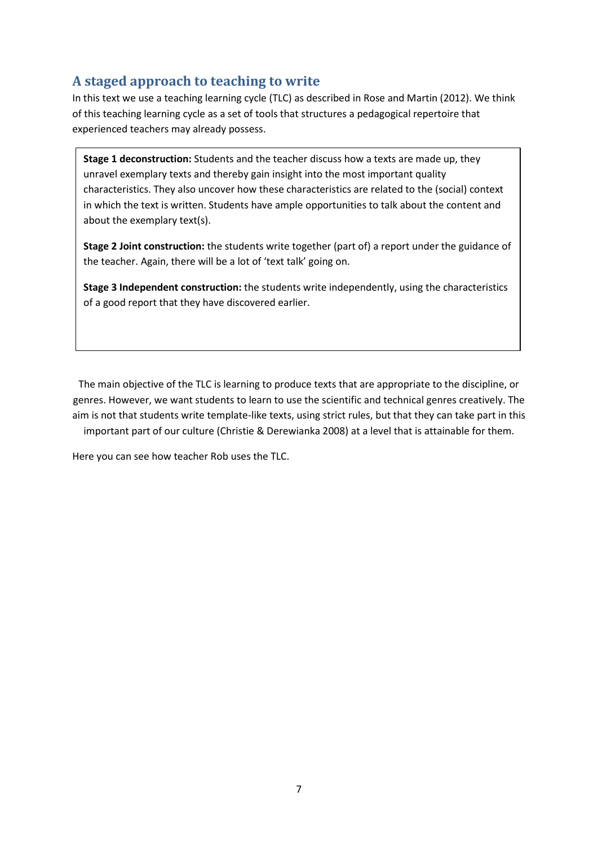# <span id="page-6-0"></span>**A staged approach to teaching to write**

In this text we use a teaching learning cycle (TLC) as described in Rose and Martin (2012). We think of this teaching learning cycle as a set of tools that structures a pedagogical repertoire that experienced teachers may already possess.

**Stage 1 deconstruction:** Students and the teacher discuss how a texts are made up, they unravel exemplary texts and thereby gain insight into the most important quality characteristics. They also uncover how these characteristics are related to the (social) context in which the text is written. Students have ample opportunities to talk about the content and about the exemplary text(s).

**Stage 2 Joint construction:** the students write together (part of) a report under the guidance of the teacher. Again, there will be a lot of 'text talk' going on.

**Stage 3 Independent construction:** the students write independently, using the characteristics of a good report that they have discovered earlier.

The main objective of the TLC is learning to produce texts that are appropriate to the discipline, or genres. However, we want students to learn to use the scientific and technical genres creatively. The aim is not that students write template-like texts, using strict rules, but that they can take part in this important part of our culture (Christie & Derewianka 2008) at a level that is attainable for them.

Here you can see how teacher Rob uses the TLC.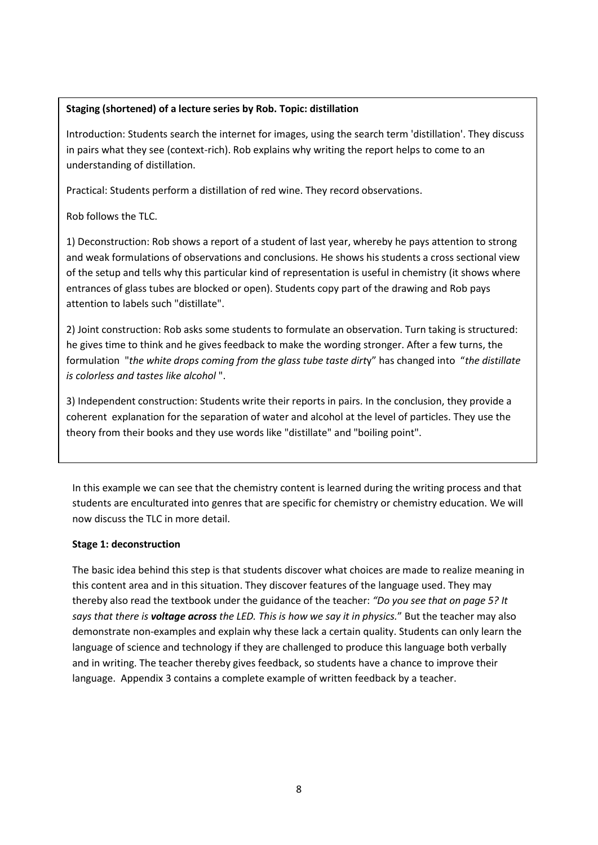## **Staging (shortened) of a lecture series by Rob. Topic: distillation**

Introduction: Students search the internet for images, using the search term 'distillation'. They discuss in pairs what they see (context-rich). Rob explains why writing the report helps to come to an understanding of distillation.

Practical: Students perform a distillation of red wine. They record observations.

Rob follows the TLC.

1) Deconstruction: Rob shows a report of a student of last year, whereby he pays attention to strong and weak formulations of observations and conclusions. He shows his students a cross sectional view of the setup and tells why this particular kind of representation is useful in chemistry (it shows where entrances of glass tubes are blocked or open). Students copy part of the drawing and Rob pays attention to labels such "distillate".

2) Joint construction: Rob asks some students to formulate an observation. Turn taking is structured: he gives time to think and he gives feedback to make the wording stronger. After a few turns, the formulation "*the white drops coming from the glass tube taste dirt*y" has changed into "*the distillate is colorless and tastes like alcohol* ".

3) Independent construction: Students write their reports in pairs. In the conclusion, they provide a coherent explanation for the separation of water and alcohol at the level of particles. They use the theory from their books and they use words like "distillate" and "boiling point".

In this example we can see that the chemistry content is learned during the writing process and that students are enculturated into genres that are specific for chemistry or chemistry education. We will now discuss the TLC in more detail.

### **Stage 1: deconstruction**

The basic idea behind this step is that students discover what choices are made to realize meaning in this content area and in this situation. They discover features of the language used. They may thereby also read the textbook under the guidance of the teacher: *"Do you see that on page 5? It says that there is voltage across the LED. This is how we say it in physics.*" But the teacher may also demonstrate non-examples and explain why these lack a certain quality. Students can only learn the language of science and technology if they are challenged to produce this language both verbally and in writing. The teacher thereby gives feedback, so students have a chance to improve their language. Appendix 3 contains a complete example of written feedback by a teacher.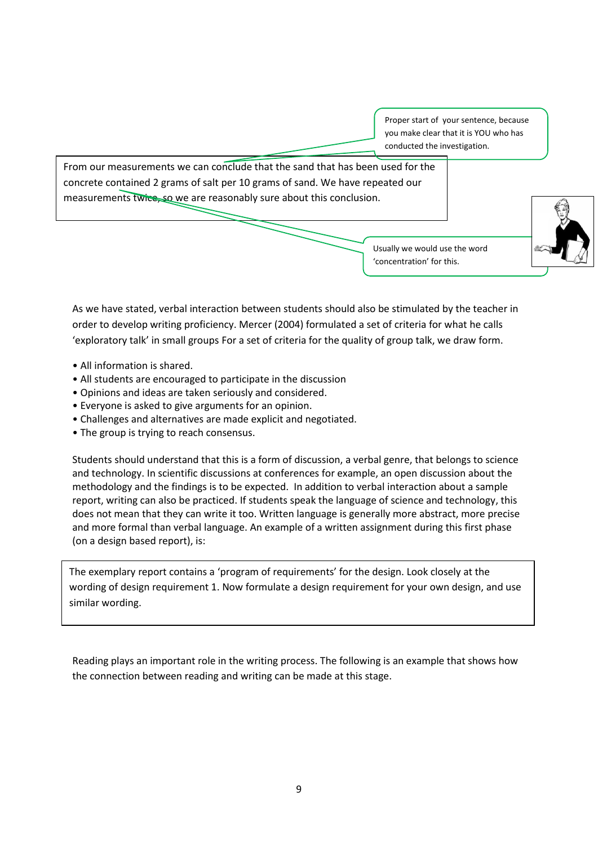Proper start of your sentence, because you make clear that it is YOU who has conducted the investigation.

From our measurements we can conclude that the sand that has been used for the concrete contained 2 grams of salt per 10 grams of sand. We have repeated our measurements twice, so we are reasonably sure about this conclusion.

> Usually we would use the word 'concentration' for this.



As we have stated, verbal interaction between students should also be stimulated by the teacher in order to develop writing proficiency. Mercer (2004) formulated a set of criteria for what he calls 'exploratory talk' in small groups For a set of criteria for the quality of group talk, we draw form.

- All information is shared.
- All students are encouraged to participate in the discussion
- Opinions and ideas are taken seriously and considered.
- Everyone is asked to give arguments for an opinion.
- Challenges and alternatives are made explicit and negotiated.
- The group is trying to reach consensus.

Students should understand that this is a form of discussion, a verbal genre, that belongs to science and technology. In scientific discussions at conferences for example, an open discussion about the methodology and the findings is to be expected. In addition to verbal interaction about a sample report, writing can also be practiced. If students speak the language of science and technology, this does not mean that they can write it too. Written language is generally more abstract, more precise and more formal than verbal language. An example of a written assignment during this first phase (on a design based report), is:

The exemplary report contains a 'program of requirements' for the design. Look closely at the wording of design requirement 1. Now formulate a design requirement for your own design, and use similar wording.

Reading plays an important role in the writing process. The following is an example that shows how the connection between reading and writing can be made at this stage.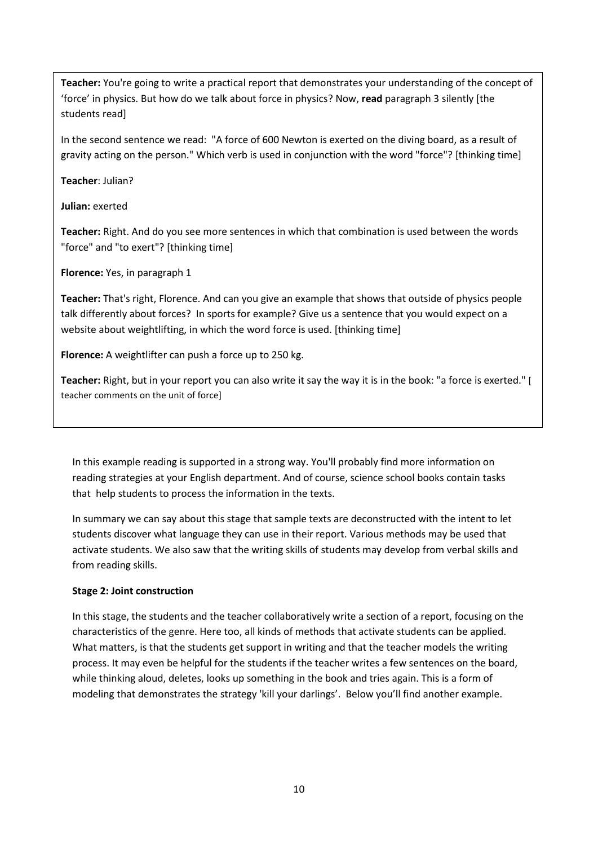**Teacher:** You're going to write a practical report that demonstrates your understanding of the concept of 'force' in physics. But how do we talk about force in physics? Now, **read** paragraph 3 silently [the students read]

In the second sentence we read: "A force of 600 Newton is exerted on the diving board, as a result of gravity acting on the person." Which verb is used in conjunction with the word "force"? [thinking time]

**Teacher**: Julian?

**Julian:** exerted

**Teacher:** Right. And do you see more sentences in which that combination is used between the words "force" and "to exert"? [thinking time]

**Florence:** Yes, in paragraph 1

**Teacher:** That's right, Florence. And can you give an example that shows that outside of physics people talk differently about forces? In sports for example? Give us a sentence that you would expect on a website about weightlifting, in which the word force is used. [thinking time]

**Florence:** A weightlifter can push a force up to 250 kg.

**Teacher:** Right, but in your report you can also write it say the way it is in the book: "a force is exerted." [ teacher comments on the unit of force]

In this example reading is supported in a strong way. You'll probably find more information on reading strategies at your English department. And of course, science school books contain tasks that help students to process the information in the texts.

In summary we can say about this stage that sample texts are deconstructed with the intent to let students discover what language they can use in their report. Various methods may be used that activate students. We also saw that the writing skills of students may develop from verbal skills and from reading skills.

## **Stage 2: Joint construction**

In this stage, the students and the teacher collaboratively write a section of a report, focusing on the characteristics of the genre. Here too, all kinds of methods that activate students can be applied. What matters, is that the students get support in writing and that the teacher models the writing process. It may even be helpful for the students if the teacher writes a few sentences on the board, while thinking aloud, deletes, looks up something in the book and tries again. This is a form of modeling that demonstrates the strategy 'kill your darlings'. Below you'll find another example.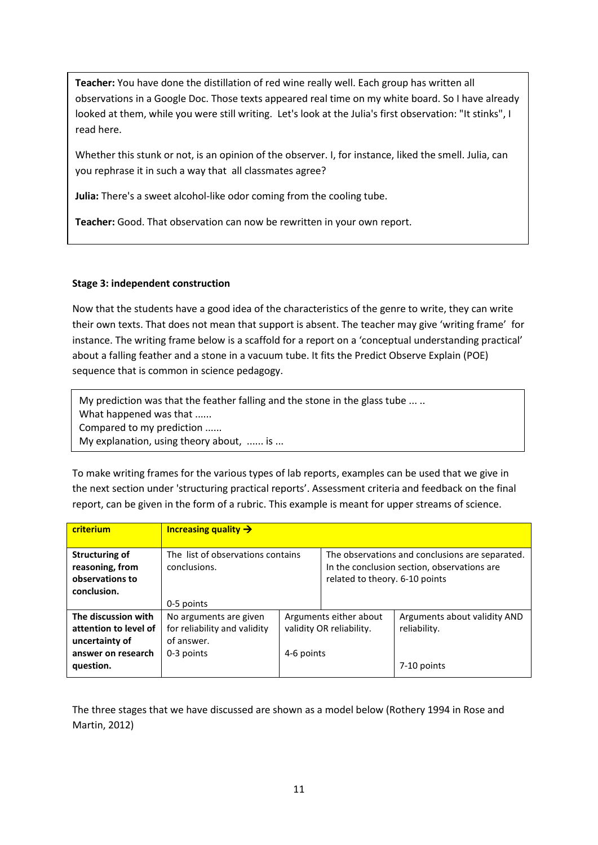**Teacher:** You have done the distillation of red wine really well. Each group has written all observations in a Google Doc. Those texts appeared real time on my white board. So I have already looked at them, while you were still writing. Let's look at the Julia's first observation: "It stinks", I read here.

Whether this stunk or not, is an opinion of the observer. I, for instance, liked the smell. Julia, can you rephrase it in such a way that all classmates agree?

**Julia:** There's a sweet alcohol-like odor coming from the cooling tube.

**Teacher:** Good. That observation can now be rewritten in your own report.

## **Stage 3: independent construction**

Now that the students have a good idea of the characteristics of the genre to write, they can write their own texts. That does not mean that support is absent. The teacher may give 'writing frame' for instance. The writing frame below is a scaffold for a report on a 'conceptual understanding practical' about a falling feather and a stone in a vacuum tube. It fits the Predict Observe Explain (POE) sequence that is common in science pedagogy.

My prediction was that the feather falling and the stone in the glass tube ... .. What happened was that ...... Compared to my prediction ...... My explanation, using theory about, ...... is ...

To make writing frames for the various types of lab reports, examples can be used that we give in the next section under 'structuring practical reports'. Assessment criteria and feedback on the final report, can be given in the form of a rubric. This example is meant for upper streams of science.

| criterium                                                                  | Increasing quality $\rightarrow$                                     |                                                    |                                                                                                                                  |                                              |
|----------------------------------------------------------------------------|----------------------------------------------------------------------|----------------------------------------------------|----------------------------------------------------------------------------------------------------------------------------------|----------------------------------------------|
| <b>Structuring of</b><br>reasoning, from<br>observations to<br>conclusion. | The list of observations contains<br>conclusions.                    |                                                    | The observations and conclusions are separated.<br>In the conclusion section, observations are<br>related to theory. 6-10 points |                                              |
|                                                                            | 0-5 points                                                           |                                                    |                                                                                                                                  |                                              |
| The discussion with<br>attention to level of<br>uncertainty of             | No arguments are given<br>for reliability and validity<br>of answer. | Arguments either about<br>validity OR reliability. |                                                                                                                                  | Arguments about validity AND<br>reliability. |
| answer on research<br>question.                                            | 0-3 points                                                           | 4-6 points                                         |                                                                                                                                  | 7-10 points                                  |

The three stages that we have discussed are shown as a model below (Rothery 1994 in Rose and Martin, 2012)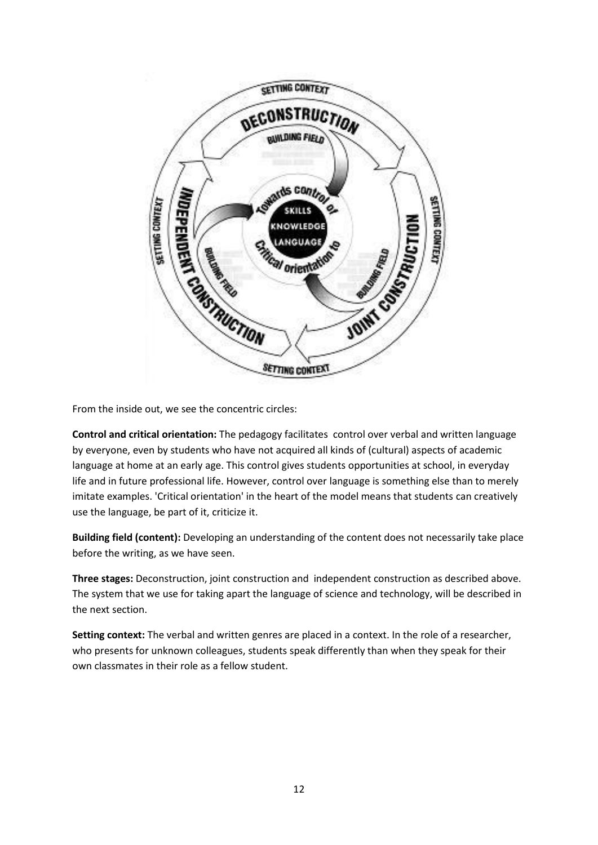

From the inside out, we see the concentric circles:

**Control and critical orientation:** The pedagogy facilitates control over verbal and written language by everyone, even by students who have not acquired all kinds of (cultural) aspects of academic language at home at an early age. This control gives students opportunities at school, in everyday life and in future professional life. However, control over language is something else than to merely imitate examples. 'Critical orientation' in the heart of the model means that students can creatively use the language, be part of it, criticize it.

**Building field (content):** Developing an understanding of the content does not necessarily take place before the writing, as we have seen.

**Three stages:** Deconstruction, joint construction and independent construction as described above. The system that we use for taking apart the language of science and technology, will be described in the next section.

**Setting context:** The verbal and written genres are placed in a context. In the role of a researcher, who presents for unknown colleagues, students speak differently than when they speak for their own classmates in their role as a fellow student.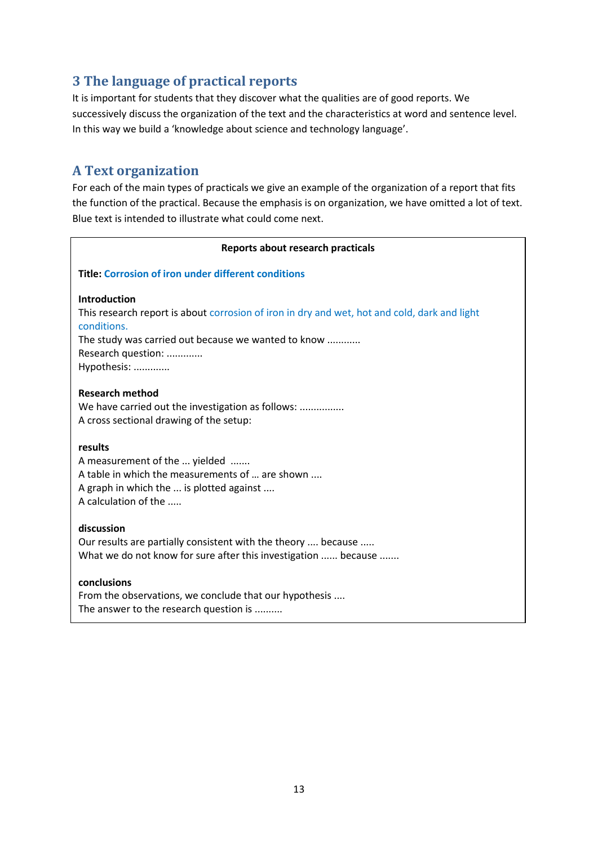# <span id="page-12-0"></span>**3 The language of practical reports**

It is important for students that they discover what the qualities are of good reports. We successively discuss the organization of the text and the characteristics at word and sentence level. In this way we build a 'knowledge about science and technology language'.

## <span id="page-12-1"></span>**A Text organization**

For each of the main types of practicals we give an example of the organization of a report that fits the function of the practical. Because the emphasis is on organization, we have omitted a lot of text. Blue text is intended to illustrate what could come next.

| Reports about research practicals                                                                           |  |  |  |  |
|-------------------------------------------------------------------------------------------------------------|--|--|--|--|
| <b>Title: Corrosion of iron under different conditions</b>                                                  |  |  |  |  |
| <b>Introduction</b>                                                                                         |  |  |  |  |
| This research report is about corrosion of iron in dry and wet, hot and cold, dark and light<br>conditions. |  |  |  |  |
| The study was carried out because we wanted to know                                                         |  |  |  |  |
| Research question:                                                                                          |  |  |  |  |
| Hypothesis:                                                                                                 |  |  |  |  |
| <b>Research method</b>                                                                                      |  |  |  |  |
| We have carried out the investigation as follows:                                                           |  |  |  |  |
| A cross sectional drawing of the setup:                                                                     |  |  |  |  |
| results                                                                                                     |  |  |  |  |
| A measurement of the  yielded                                                                               |  |  |  |  |
| A table in which the measurements of  are shown                                                             |  |  |  |  |
| A graph in which the  is plotted against                                                                    |  |  |  |  |
| A calculation of the                                                                                        |  |  |  |  |
| discussion                                                                                                  |  |  |  |  |
| Our results are partially consistent with the theory  because                                               |  |  |  |  |
| What we do not know for sure after this investigation  because                                              |  |  |  |  |
| conclusions                                                                                                 |  |  |  |  |
| From the observations, we conclude that our hypothesis                                                      |  |  |  |  |

The answer to the research question is ..........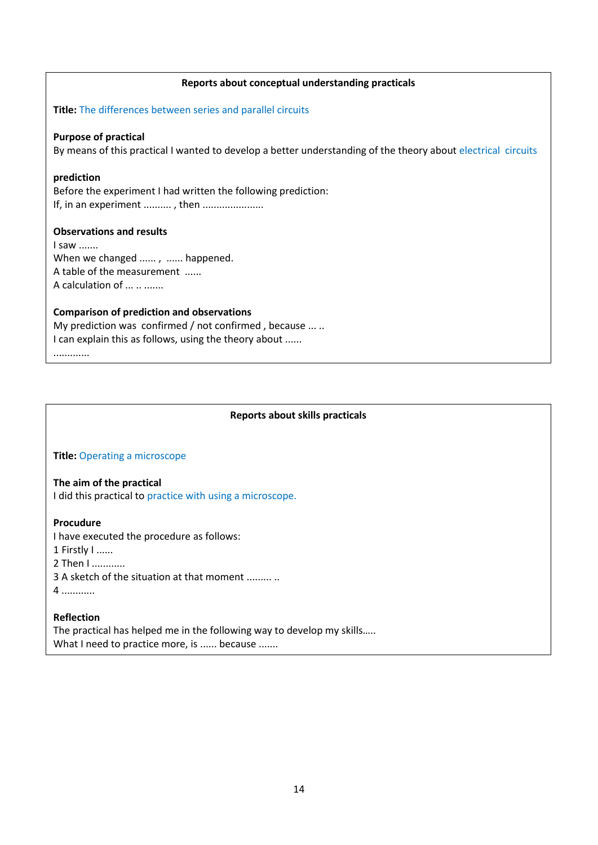#### **Reports about conceptual understanding practicals**

**Title:** The differences between series and parallel circuits

#### **Purpose of practical**

By means of this practical I wanted to develop a better understanding of the theory about electrical circuits

#### **prediction**

Before the experiment I had written the following prediction: If, in an experiment .........., then .......................

#### **Observations and results**

I saw ....... When we changed ......, ...... happened. A table of the measurement ...... A calculation of ... .. .......

### **Comparison of prediction and observations**

My prediction was confirmed / not confirmed, because ... .. I can explain this as follows, using the theory about ......

.............

### **Reports about skills practicals**

#### **Title:** Operating a microscope

### **The aim of the practical**

I did this practical to practice with using a microscope.

#### **Procudure**

I have executed the procedure as follows:

- 1 Firstly I ......
- 2 Then I ............
- 3 A sketch of the situation at that moment ......... ..
- 4 ............

#### **Reflection**

The practical has helped me in the following way to develop my skills….. What I need to practice more, is ...... because .......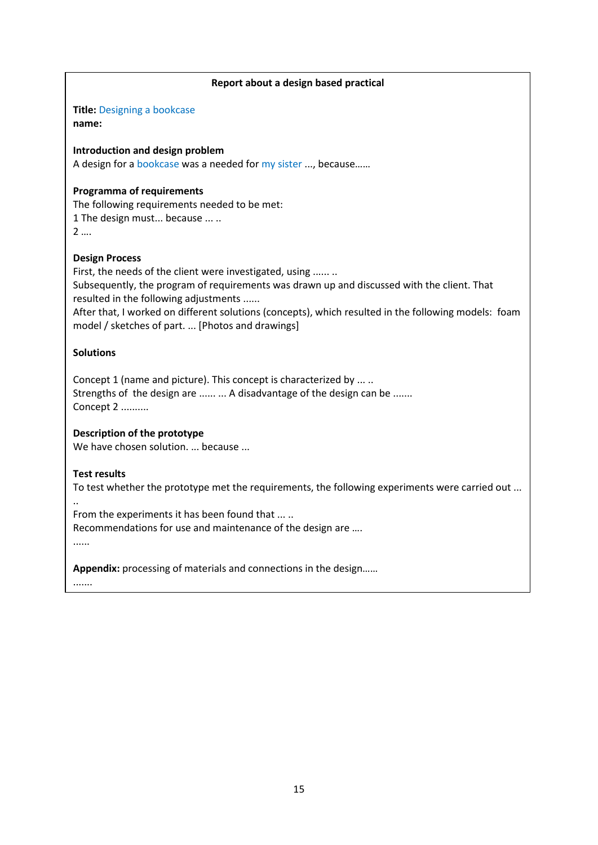# **Report about a design based practical Title:** Designing a bookcase **name: Introduction and design problem**  A design for a bookcase was a needed for my sister ..., because…… **Programma of requirements**  The following requirements needed to be met: 1 The design must... because ... .. 2 …. **Design Process**  First, the needs of the client were investigated, using ...... .. Subsequently, the program of requirements was drawn up and discussed with the client. That resulted in the following adjustments ...... After that, I worked on different solutions (concepts), which resulted in the following models: foam model / sketches of part. ... [Photos and drawings] **Solutions** Concept 1 (name and picture). This concept is characterized by ... .. Strengths of the design are ...... ... A disadvantage of the design can be ....... Concept 2 .......... **Description of the prototype**  We have chosen solution. ... because ... **Test results**  To test whether the prototype met the requirements, the following experiments were carried out ... .. From the experiments it has been found that ... .. Recommendations for use and maintenance of the design are …. ...... **Appendix:** processing of materials and connections in the design……

.......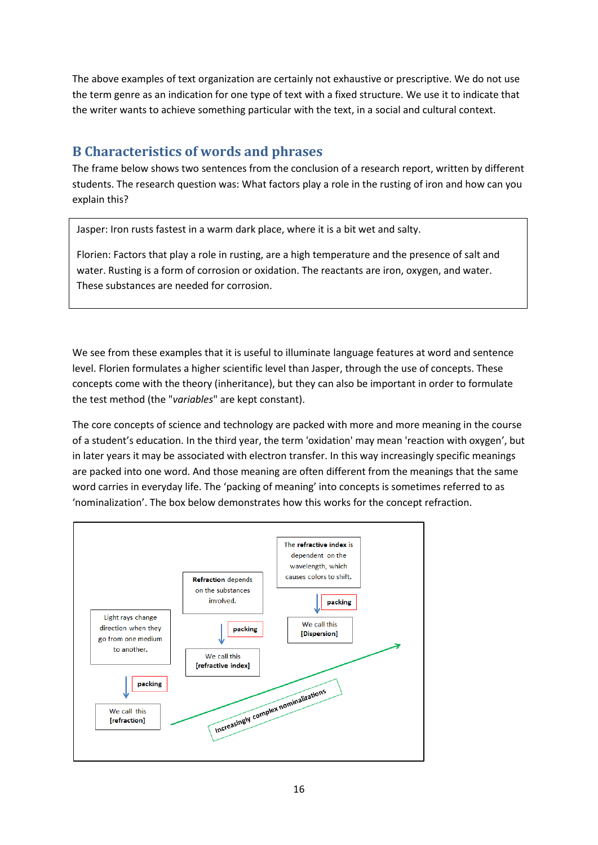The above examples of text organization are certainly not exhaustive or prescriptive. We do not use the term genre as an indication for one type of text with a fixed structure. We use it to indicate that the writer wants to achieve something particular with the text, in a social and cultural context.

## <span id="page-15-0"></span>**B Characteristics of words and phrases**

The frame below shows two sentences from the conclusion of a research report, written by different students. The research question was: What factors play a role in the rusting of iron and how can you explain this?

Jasper: Iron rusts fastest in a warm dark place, where it is a bit wet and salty.

Florien: Factors that play a role in rusting, are a high temperature and the presence of salt and water. Rusting is a form of corrosion or oxidation. The reactants are iron, oxygen, and water. These substances are needed for corrosion.

We see from these examples that it is useful to illuminate language features at word and sentence level. Florien formulates a higher scientific level than Jasper, through the use of concepts. These concepts come with the theory (inheritance), but they can also be important in order to formulate the test method (the "*variables*" are kept constant).

The core concepts of science and technology are packed with more and more meaning in the course of a student's education. In the third year, the term 'oxidation' may mean 'reaction with oxygen', but in later years it may be associated with electron transfer. In this way increasingly specific meanings are packed into one word. And those meaning are often different from the meanings that the same word carries in everyday life. The 'packing of meaning' into concepts is sometimes referred to as 'nominalization'. The box below demonstrates how this works for the concept refraction.

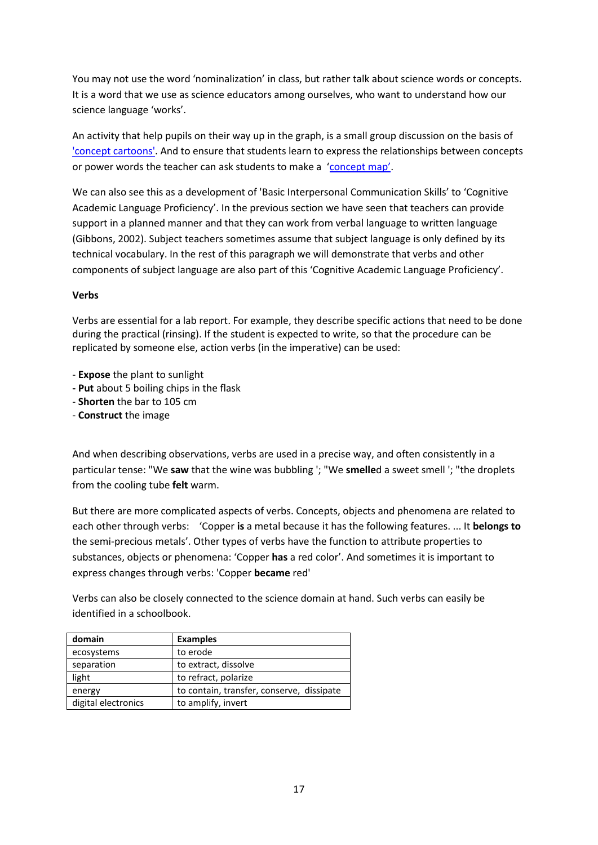You may not use the word 'nominalization' in class, but rather talk about science words or concepts. It is a word that we use as science educators among ourselves, who want to understand how our science language 'works'.

An activity that help pupils on their way up in the graph, is a small group discussion on the basis of ['concept cartoons'.](http://conceptcartoons.com/what-is-a-concept-cartoon-.html) And to ensure that students learn to express the relationships between concepts or power words the teacher can ask students to make a ['concept map'](http://web.stanford.edu/dept/SUSE/SEAL/Reports_Papers/Vanides_CM.pdf).

We can also see this as a development of 'Basic Interpersonal Communication Skills' to 'Cognitive Academic Language Proficiency'. In the previous section we have seen that teachers can provide support in a planned manner and that they can work from verbal language to written language (Gibbons, 2002). Subject teachers sometimes assume that subject language is only defined by its technical vocabulary. In the rest of this paragraph we will demonstrate that verbs and other components of subject language are also part of this 'Cognitive Academic Language Proficiency'.

### **Verbs**

Verbs are essential for a lab report. For example, they describe specific actions that need to be done during the practical (rinsing). If the student is expected to write, so that the procedure can be replicated by someone else, action verbs (in the imperative) can be used:

- **Expose** the plant to sunlight
- **- Put** about 5 boiling chips in the flask
- **Shorten** the bar to 105 cm
- **Construct** the image

And when describing observations, verbs are used in a precise way, and often consistently in a particular tense: "We **saw** that the wine was bubbling '; "We **smelle**d a sweet smell '; "the droplets from the cooling tube **felt** warm.

But there are more complicated aspects of verbs. Concepts, objects and phenomena are related to each other through verbs: 'Copper **is** a metal because it has the following features. ... It **belongs to** the semi-precious metals'. Other types of verbs have the function to attribute properties to substances, objects or phenomena: 'Copper **has** a red color'. And sometimes it is important to express changes through verbs: 'Copper **became** red'

Verbs can also be closely connected to the science domain at hand. Such verbs can easily be identified in a schoolbook.

| domain              | <b>Examples</b>                           |
|---------------------|-------------------------------------------|
| ecosystems          | to erode                                  |
| separation          | to extract, dissolve                      |
| light               | to refract, polarize                      |
| energy              | to contain, transfer, conserve, dissipate |
| digital electronics | to amplify, invert                        |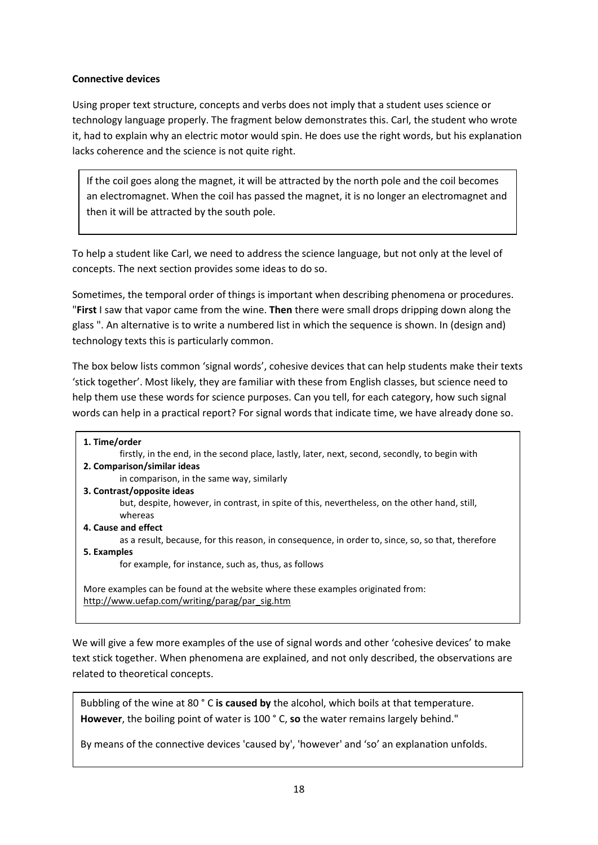### **Connective devices**

Using proper text structure, concepts and verbs does not imply that a student uses science or technology language properly. The fragment below demonstrates this. Carl, the student who wrote it, had to explain why an electric motor would spin. He does use the right words, but his explanation lacks coherence and the science is not quite right.

If the coil goes along the magnet, it will be attracted by the north pole and the coil becomes an electromagnet. When the coil has passed the magnet, it is no longer an electromagnet and then it will be attracted by the south pole.

To help a student like Carl, we need to address the science language, but not only at the level of concepts. The next section provides some ideas to do so.

Sometimes, the temporal order of things is important when describing phenomena or procedures. "**First** I saw that vapor came from the wine. **Then** there were small drops dripping down along the glass ". An alternative is to write a numbered list in which the sequence is shown. In (design and) technology texts this is particularly common.

The box below lists common 'signal words', cohesive devices that can help students make their texts 'stick together'. Most likely, they are familiar with these from English classes, but science need to help them use these words for science purposes. Can you tell, for each category, how such signal words can help in a practical report? For signal words that indicate time, we have already done so.

| 1. Time/order                                                                                                                     |
|-----------------------------------------------------------------------------------------------------------------------------------|
| firstly, in the end, in the second place, lastly, later, next, second, secondly, to begin with                                    |
| 2. Comparison/similar ideas                                                                                                       |
| in comparison, in the same way, similarly                                                                                         |
| 3. Contrast/opposite ideas                                                                                                        |
| but, despite, however, in contrast, in spite of this, nevertheless, on the other hand, still,<br>whereas                          |
| 4. Cause and effect                                                                                                               |
| as a result, because, for this reason, in consequence, in order to, since, so, so that, therefore                                 |
| 5. Examples                                                                                                                       |
| for example, for instance, such as, thus, as follows                                                                              |
| More examples can be found at the website where these examples originated from:<br>http://www.uefap.com/writing/parag/par_sig.htm |

We will give a few more examples of the use of signal words and other 'cohesive devices' to make text stick together. When phenomena are explained, and not only described, the observations are related to theoretical concepts.

Bubbling of the wine at 80 ° C **is caused by** the alcohol, which boils at that temperature. **However**, the boiling point of water is 100 ° C, **so** the water remains largely behind."

By means of the connective devices 'caused by', 'however' and 'so' an explanation unfolds.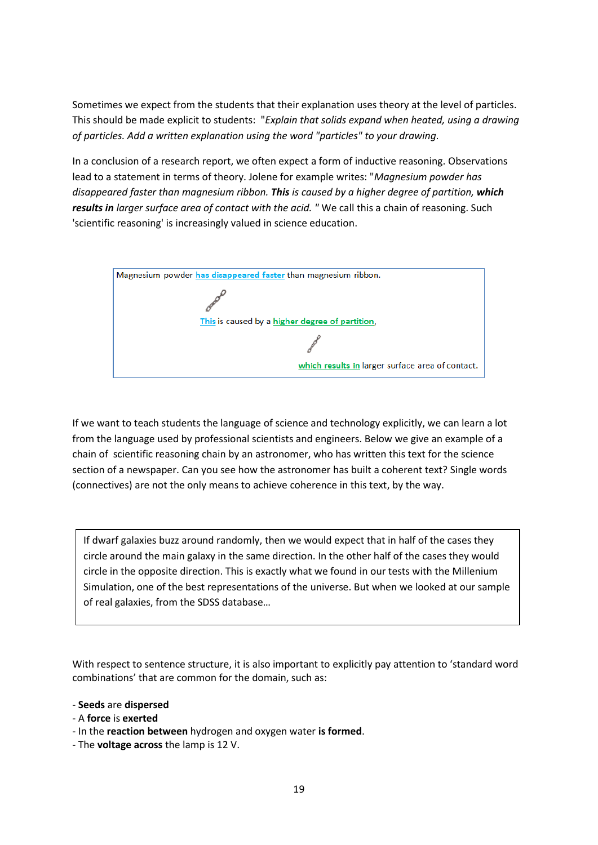Sometimes we expect from the students that their explanation uses theory at the level of particles. This should be made explicit to students: "*Explain that solids expand when heated, using a drawing of particles. Add a written explanation using the word "particles" to your drawing*.

In a conclusion of a research report, we often expect a form of inductive reasoning. Observations lead to a statement in terms of theory. Jolene for example writes: "*Magnesium powder has disappeared faster than magnesium ribbon. This is caused by a higher degree of partition, which results in larger surface area of contact with the acid. "* We call this a chain of reasoning. Such 'scientific reasoning' is increasingly valued in science education.



If we want to teach students the language of science and technology explicitly, we can learn a lot from the language used by professional scientists and engineers. Below we give an example of a chain of scientific reasoning chain by an astronomer, who has written this text for the science section of a newspaper. Can you see how the astronomer has built a coherent text? Single words (connectives) are not the only means to achieve coherence in this text, by the way.

If dwarf galaxies buzz around randomly, then we would expect that in half of the cases they circle around the main galaxy in the same direction. In the other half of the cases they would circle in the opposite direction. This is exactly what we found in our tests with the Millenium Simulation, one of the best representations of the universe. But when we looked at our sample of real galaxies, from the SDSS database…

With respect to sentence structure, it is also important to explicitly pay attention to 'standard word combinations' that are common for the domain, such as:

- **Seeds** are **dispersed**
- A **force** is **exerted**
- In the **reaction between** hydrogen and oxygen water **is formed**.
- The **voltage across** the lamp is 12 V.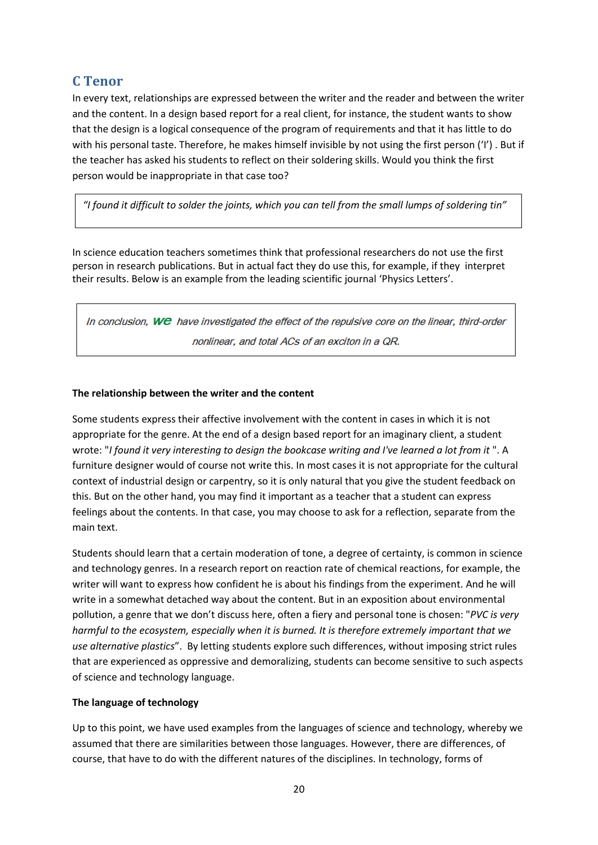## <span id="page-19-0"></span>**C Tenor**

In every text, relationships are expressed between the writer and the reader and between the writer and the content. In a design based report for a real client, for instance, the student wants to show that the design is a logical consequence of the program of requirements and that it has little to do with his personal taste. Therefore, he makes himself invisible by not using the first person ('I'). But if the teacher has asked his students to reflect on their soldering skills. Would you think the first person would be inappropriate in that case too?

*"I found it difficult to solder the joints, which you can tell from the small lumps of soldering tin"*

In science education teachers sometimes think that professional researchers do not use the first person in research publications. But in actual fact they do use this, for example, if they interpret their results. Below is an example from the leading scientific journal 'Physics Letters'.

In conclusion, We have investigated the effect of the repulsive core on the linear, third-order nonlinear, and total ACs of an exciton in a QR.

## **The relationship between the writer and the content**

Some students express their affective involvement with the content in cases in which it is not appropriate for the genre. At the end of a design based report for an imaginary client, a student wrote: "*I found it very interesting to design the bookcase writing and I've learned a lot from it* ". A furniture designer would of course not write this. In most cases it is not appropriate for the cultural context of industrial design or carpentry, so it is only natural that you give the student feedback on this. But on the other hand, you may find it important as a teacher that a student can express feelings about the contents. In that case, you may choose to ask for a reflection, separate from the main text.

Students should learn that a certain moderation of tone, a degree of certainty, is common in science and technology genres. In a research report on reaction rate of chemical reactions, for example, the writer will want to express how confident he is about his findings from the experiment. And he will write in a somewhat detached way about the content. But in an exposition about environmental pollution, a genre that we don't discuss here, often a fiery and personal tone is chosen: "*PVC is very harmful to the ecosystem, especially when it is burned. It is therefore extremely important that we use alternative plastics*". By letting students explore such differences, without imposing strict rules that are experienced as oppressive and demoralizing, students can become sensitive to such aspects of science and technology language.

## **The language of technology**

Up to this point, we have used examples from the languages of science and technology, whereby we assumed that there are similarities between those languages. However, there are differences, of course, that have to do with the different natures of the disciplines. In technology, forms of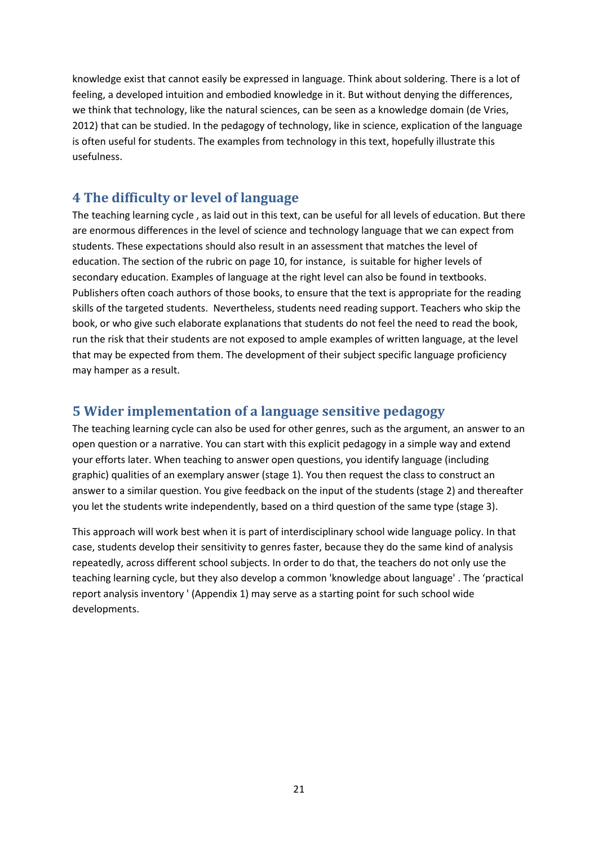knowledge exist that cannot easily be expressed in language. Think about soldering. There is a lot of feeling, a developed intuition and embodied knowledge in it. But without denying the differences, we think that technology, like the natural sciences, can be seen as a knowledge domain (de Vries, 2012) that can be studied. In the pedagogy of technology, like in science, explication of the language is often useful for students. The examples from technology in this text, hopefully illustrate this usefulness.

## <span id="page-20-0"></span>**4 The difficulty or level of language**

The teaching learning cycle , as laid out in this text, can be useful for all levels of education. But there are enormous differences in the level of science and technology language that we can expect from students. These expectations should also result in an assessment that matches the level of education. The section of the rubric on page 10, for instance, is suitable for higher levels of secondary education. Examples of language at the right level can also be found in textbooks. Publishers often coach authors of those books, to ensure that the text is appropriate for the reading skills of the targeted students. Nevertheless, students need reading support. Teachers who skip the book, or who give such elaborate explanations that students do not feel the need to read the book, run the risk that their students are not exposed to ample examples of written language, at the level that may be expected from them. The development of their subject specific language proficiency may hamper as a result.

## <span id="page-20-1"></span>**5 Wider implementation of a language sensitive pedagogy**

The teaching learning cycle can also be used for other genres, such as the argument, an answer to an open question or a narrative. You can start with this explicit pedagogy in a simple way and extend your efforts later. When teaching to answer open questions, you identify language (including graphic) qualities of an exemplary answer (stage 1). You then request the class to construct an answer to a similar question. You give feedback on the input of the students (stage 2) and thereafter you let the students write independently, based on a third question of the same type (stage 3).

This approach will work best when it is part of interdisciplinary school wide language policy. In that case, students develop their sensitivity to genres faster, because they do the same kind of analysis repeatedly, across different school subjects. In order to do that, the teachers do not only use the teaching learning cycle, but they also develop a common 'knowledge about language' . The 'practical report analysis inventory ' (Appendix 1) may serve as a starting point for such school wide developments.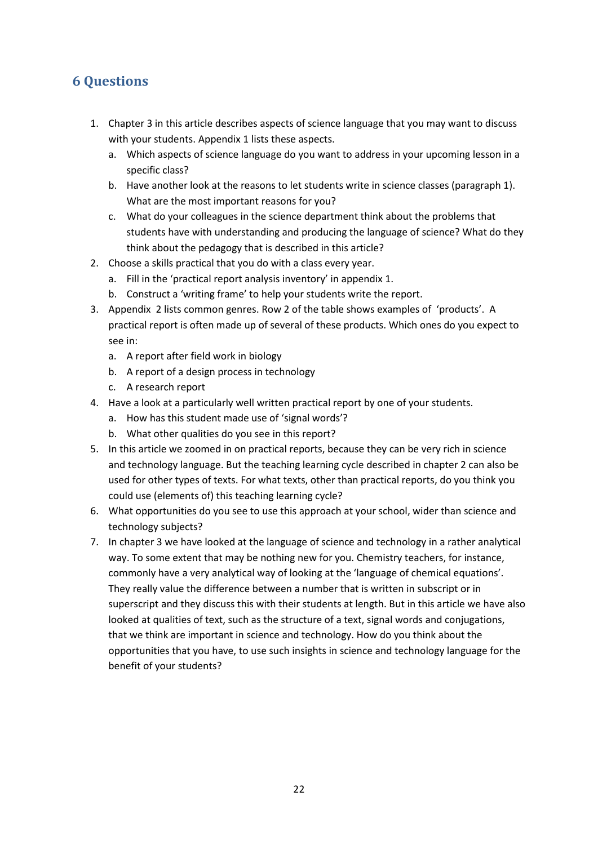# <span id="page-21-0"></span>**6 Questions**

- 1. Chapter 3 in this article describes aspects of science language that you may want to discuss with your students. Appendix 1 lists these aspects.
	- a. Which aspects of science language do you want to address in your upcoming lesson in a specific class?
	- b. Have another look at the reasons to let students write in science classes (paragraph 1). What are the most important reasons for you?
	- c. What do your colleagues in the science department think about the problems that students have with understanding and producing the language of science? What do they think about the pedagogy that is described in this article?
- 2. Choose a skills practical that you do with a class every year.
	- a. Fill in the 'practical report analysis inventory' in appendix 1.
	- b. Construct a 'writing frame' to help your students write the report.
- 3. Appendix 2 lists common genres. Row 2 of the table shows examples of 'products'. A practical report is often made up of several of these products. Which ones do you expect to see in:
	- a. A report after field work in biology
	- b. A report of a design process in technology
	- c. A research report
- 4. Have a look at a particularly well written practical report by one of your students.
	- a. How has this student made use of 'signal words'?
	- b. What other qualities do you see in this report?
- 5. In this article we zoomed in on practical reports, because they can be very rich in science and technology language. But the teaching learning cycle described in chapter 2 can also be used for other types of texts. For what texts, other than practical reports, do you think you could use (elements of) this teaching learning cycle?
- 6. What opportunities do you see to use this approach at your school, wider than science and technology subjects?
- 7. In chapter 3 we have looked at the language of science and technology in a rather analytical way. To some extent that may be nothing new for you. Chemistry teachers, for instance, commonly have a very analytical way of looking at the 'language of chemical equations'. They really value the difference between a number that is written in subscript or in superscript and they discuss this with their students at length. But in this article we have also looked at qualities of text, such as the structure of a text, signal words and conjugations, that we think are important in science and technology. How do you think about the opportunities that you have, to use such insights in science and technology language for the benefit of your students?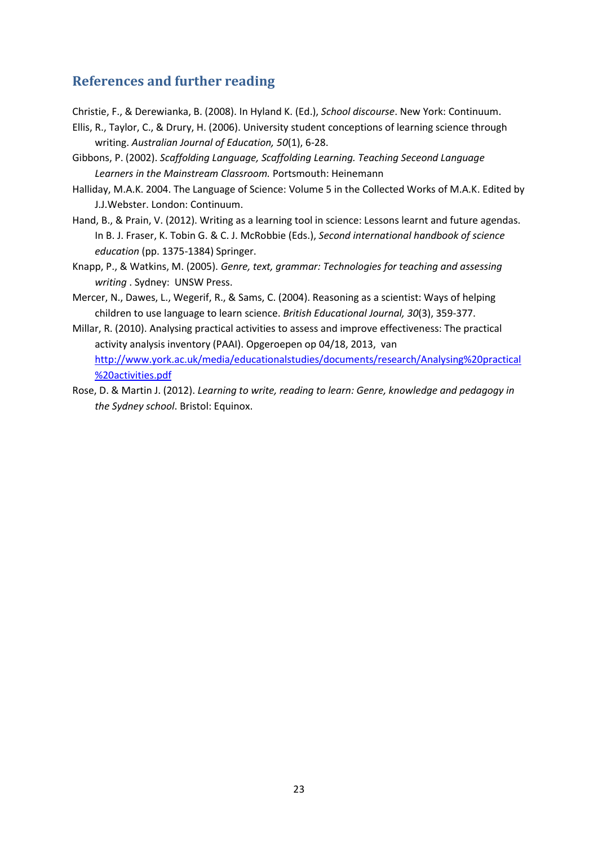# <span id="page-22-0"></span>**References and further reading**

Christie, F., & Derewianka, B. (2008). In Hyland K. (Ed.), *School discourse*. New York: Continuum.

- Ellis, R., Taylor, C., & Drury, H. (2006). University student conceptions of learning science through writing. *Australian Journal of Education, 50*(1), 6-28.
- Gibbons, P. (2002). *Scaffolding Language, Scaffolding Learning. Teaching Seceond Language Learners in the Mainstream Classroom.* Portsmouth: Heinemann
- Halliday, M.A.K. 2004. The Language of Science: Volume 5 in the Collected Works of M.A.K. Edited by J.J.Webster. London: Continuum.
- Hand, B., & Prain, V. (2012). Writing as a learning tool in science: Lessons learnt and future agendas. In B. J. Fraser, K. Tobin G. & C. J. McRobbie (Eds.), *Second international handbook of science education* (pp. 1375-1384) Springer.
- Knapp, P., & Watkins, M. (2005). *Genre, text, grammar: Technologies for teaching and assessing writing* . Sydney: UNSW Press.
- Mercer, N., Dawes, L., Wegerif, R., & Sams, C. (2004). Reasoning as a scientist: Ways of helping children to use language to learn science. *British Educational Journal, 30*(3), 359-377.
- Millar, R. (2010). Analysing practical activities to assess and improve effectiveness: The practical activity analysis inventory (PAAI). Opgeroepen op 04/18, 2013, van [http://www.york.ac.uk/media/educationalstudies/documents/research/Analysing%20practical](http://www.york.ac.uk/media/educationalstudies/documents/research/Analysing%20practical%20activities.pdf) [%20activities.pdf](http://www.york.ac.uk/media/educationalstudies/documents/research/Analysing%20practical%20activities.pdf)
- Rose, D. & Martin J. (2012). *Learning to write, reading to learn: Genre, knowledge and pedagogy in the Sydney school*. Bristol: Equinox.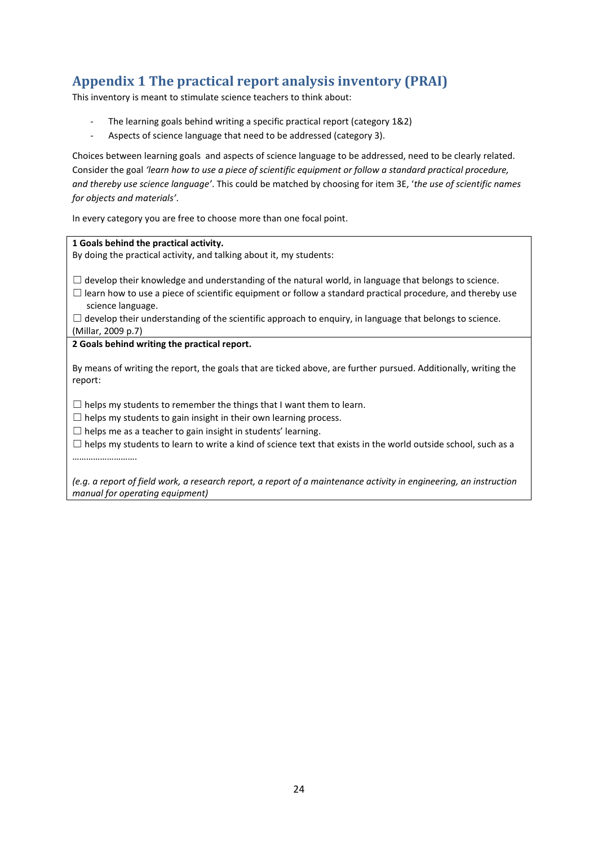# <span id="page-23-0"></span>**Appendix 1 The practical report analysis inventory (PRAI)**

This inventory is meant to stimulate science teachers to think about:

- The learning goals behind writing a specific practical report (category 1&2)
- Aspects of science language that need to be addressed (category 3).

Choices between learning goals and aspects of science language to be addressed, need to be clearly related. Consider the goal *'learn how to use a piece of scientific equipment or follow a standard practical procedure, and thereby use science language'*. This could be matched by choosing for item 3E, '*the use of scientific names for objects and materials'*.

In every category you are free to choose more than one focal point.

| 1 Goals behind the practical activity.                                                                                          |
|---------------------------------------------------------------------------------------------------------------------------------|
| By doing the practical activity, and talking about it, my students:                                                             |
|                                                                                                                                 |
| develop their knowledge and understanding of the natural world, in language that belongs to science.                            |
| learn how to use a piece of scientific equipment or follow a standard practical procedure, and thereby use<br>science language. |
| $\Box$ develop their understanding of the scientific approach to enquiry, in language that belongs to science.                  |
| (Millar, 2009 p.7)                                                                                                              |
| 2 Goals behind writing the practical report.                                                                                    |
|                                                                                                                                 |
| By means of writing the report, the goals that are ticked above, are further pursued. Additionally, writing the<br>report:      |
|                                                                                                                                 |
| $\Box$ helps my students to remember the things that I want them to learn.                                                      |
| $\Box$ helps my students to gain insight in their own learning process.                                                         |
| $\Box$ helps me as a teacher to gain insight in students' learning.                                                             |
| $\Box$ helps my students to learn to write a kind of science text that exists in the world outside school, such as a            |
|                                                                                                                                 |
|                                                                                                                                 |
| (e.g. a report of field work, a research report, a report of a maintenance activity in engineering, an instruction              |
| manual for operating equipment)                                                                                                 |
|                                                                                                                                 |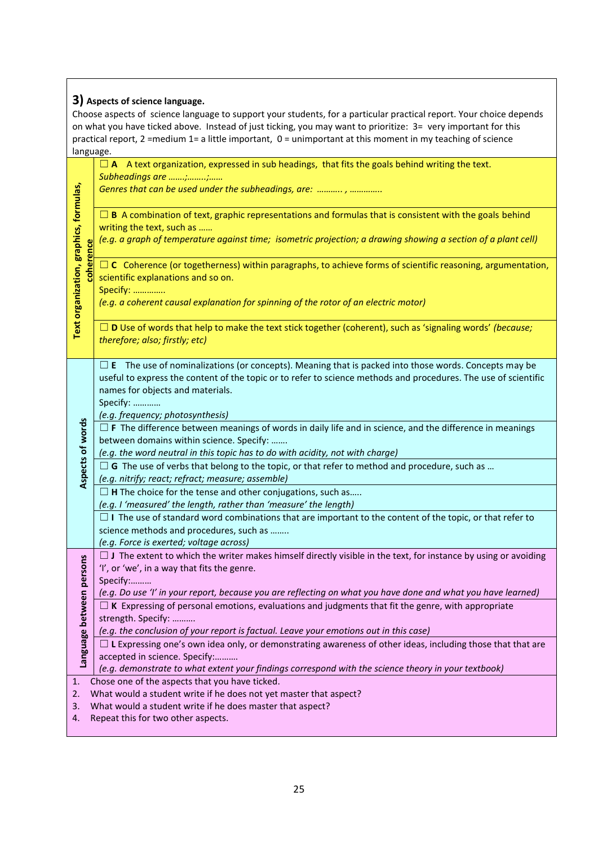| 3) Aspects of science language.                                         |                                                                                                                       |  |  |  |  |
|-------------------------------------------------------------------------|-----------------------------------------------------------------------------------------------------------------------|--|--|--|--|
|                                                                         | Choose aspects of science language to support your students, for a particular practical report. Your choice depends   |  |  |  |  |
|                                                                         | on what you have ticked above. Instead of just ticking, you may want to prioritize: 3= very important for this        |  |  |  |  |
|                                                                         | practical report, 2 =medium 1= a little important, 0 = unimportant at this moment in my teaching of science           |  |  |  |  |
| language.                                                               |                                                                                                                       |  |  |  |  |
|                                                                         | $\Box$ A Lext organization, expressed in sub headings, that fits the goals behind writing the text.                   |  |  |  |  |
|                                                                         | Subheadings are ;;                                                                                                    |  |  |  |  |
|                                                                         | Genres that can be used under the subheadings, are: , ,                                                               |  |  |  |  |
|                                                                         |                                                                                                                       |  |  |  |  |
|                                                                         | $\Box$ B A combination of text, graphic representations and formulas that is consistent with the goals behind         |  |  |  |  |
|                                                                         | writing the text, such as                                                                                             |  |  |  |  |
|                                                                         | (e.g. a graph of temperature against time; isometric projection; a drawing showing a section of a plant cell)         |  |  |  |  |
| coherence                                                               |                                                                                                                       |  |  |  |  |
|                                                                         | $\Box$ C Coherence (or togetherness) within paragraphs, to achieve forms of scientific reasoning, argumentation,      |  |  |  |  |
|                                                                         | scientific explanations and so on.                                                                                    |  |  |  |  |
|                                                                         | Specify:                                                                                                              |  |  |  |  |
|                                                                         | (e.g. a coherent causal explanation for spinning of the rotor of an electric motor)                                   |  |  |  |  |
|                                                                         |                                                                                                                       |  |  |  |  |
| Text organization, graphics, formulas,                                  | $\Box$ D Use of words that help to make the text stick together (coherent), such as 'signaling words' (because;       |  |  |  |  |
|                                                                         | therefore; also; firstly; etc)                                                                                        |  |  |  |  |
|                                                                         |                                                                                                                       |  |  |  |  |
|                                                                         | $\Box$ E The use of nominalizations (or concepts). Meaning that is packed into those words. Concepts may be           |  |  |  |  |
|                                                                         | useful to express the content of the topic or to refer to science methods and procedures. The use of scientific       |  |  |  |  |
|                                                                         | names for objects and materials.                                                                                      |  |  |  |  |
|                                                                         | Specify:                                                                                                              |  |  |  |  |
|                                                                         | (e.g. frequency; photosynthesis)                                                                                      |  |  |  |  |
| Aspects of words                                                        | $\Box$ F The difference between meanings of words in daily life and in science, and the difference in meanings        |  |  |  |  |
|                                                                         | between domains within science. Specify:                                                                              |  |  |  |  |
|                                                                         | (e.g. the word neutral in this topic has to do with acidity, not with charge)                                         |  |  |  |  |
|                                                                         | $\Box$ G The use of verbs that belong to the topic, or that refer to method and procedure, such as                    |  |  |  |  |
|                                                                         | (e.g. nitrify; react; refract; measure; assemble)                                                                     |  |  |  |  |
|                                                                         | $\Box$ H The choice for the tense and other conjugations, such as                                                     |  |  |  |  |
|                                                                         | (e.g. I 'measured' the length, rather than 'measure' the length)                                                      |  |  |  |  |
|                                                                         | $\Box$ I The use of standard word combinations that are important to the content of the topic, or that refer to       |  |  |  |  |
|                                                                         | science methods and procedures, such as                                                                               |  |  |  |  |
|                                                                         | (e.g. Force is exerted; voltage across)                                                                               |  |  |  |  |
|                                                                         | $\Box$ J The extent to which the writer makes himself directly visible in the text, for instance by using or avoiding |  |  |  |  |
|                                                                         | 'I', or 'we', in a way that fits the genre.                                                                           |  |  |  |  |
|                                                                         | Specify:                                                                                                              |  |  |  |  |
| Language between persons                                                | (e.g. Do use 'I' in your report, because you are reflecting on what you have done and what you have learned)          |  |  |  |  |
|                                                                         | $\Box$ K Expressing of personal emotions, evaluations and judgments that fit the genre, with appropriate              |  |  |  |  |
|                                                                         | strength. Specify:                                                                                                    |  |  |  |  |
|                                                                         | (e.g. the conclusion of your report is factual. Leave your emotions out in this case)                                 |  |  |  |  |
|                                                                         | $\Box$ L Expressing one's own idea only, or demonstrating awareness of other ideas, including those that that are     |  |  |  |  |
|                                                                         | accepted in science. Specify:                                                                                         |  |  |  |  |
|                                                                         | (e.g. demonstrate to what extent your findings correspond with the science theory in your textbook)                   |  |  |  |  |
| 1.                                                                      | Chose one of the aspects that you have ticked.                                                                        |  |  |  |  |
| What would a student write if he does not yet master that aspect?<br>2. |                                                                                                                       |  |  |  |  |
| What would a student write if he does master that aspect?<br>3.         |                                                                                                                       |  |  |  |  |
| 4.                                                                      | Repeat this for two other aspects.                                                                                    |  |  |  |  |

 $\overline{\phantom{a}}$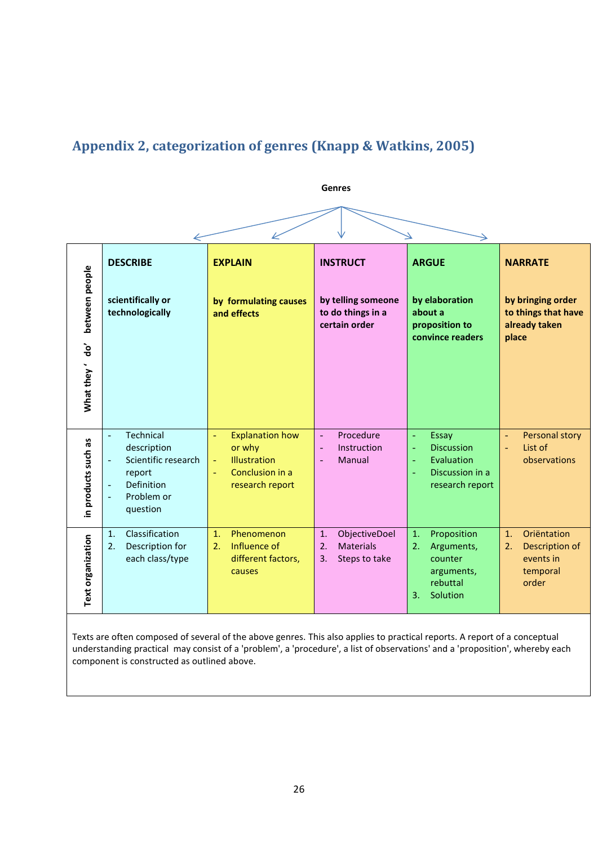# <span id="page-25-0"></span>**Appendix 2, categorization of genres (Knapp & Watkins, 2005)**



Texts are often composed of several of the above genres. This also applies to practical reports. A report of a conceptual understanding practical may consist of a 'problem', a 'procedure', a list of observations' and a 'proposition', whereby each component is constructed as outlined above.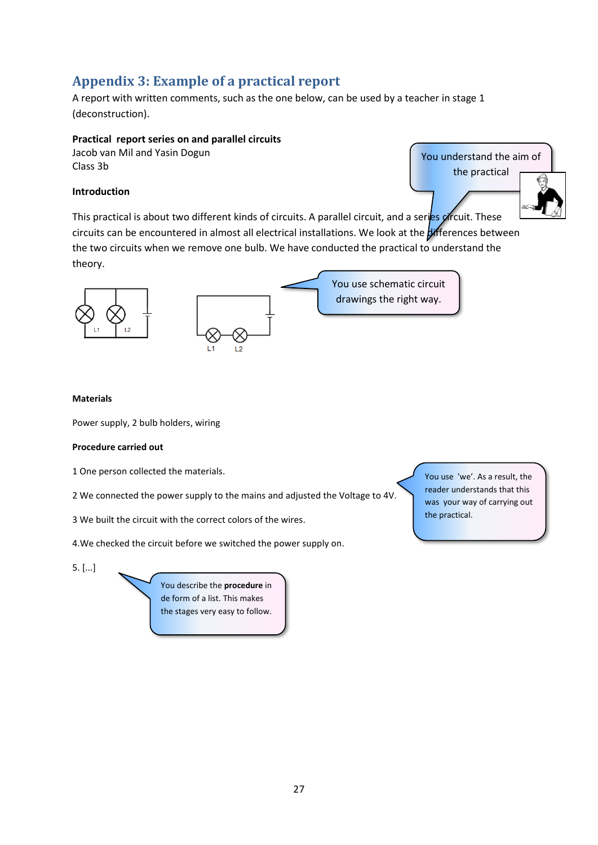# <span id="page-26-0"></span>**Appendix 3: Example of a practical report**

A report with written comments, such as the one below, can be used by a teacher in stage 1 (deconstruction).

## **Practical report series on and parallel circuits**

Jacob van Mil and Yasin Dogun Class 3b

## **Introduction**

You understand the aim of the practical

This practical is about two different kinds of circuits. A parallel circuit, and a series circuit. These circuits can be encountered in almost all electrical installations. We look at the **differences** between the two circuits when we remove one bulb. We have conducted the practical to understand the theory.



#### **Materials**

Power supply, 2 bulb holders, wiring

### **Procedure carried out**

1 One person collected the materials.

2 We connected the power supply to the mains and adjusted the Voltage to 4V.

3 We built the circuit with the correct colors of the wires.

4.We checked the circuit before we switched the power supply on.

5. [...]

You describe the **procedure** in de form of a list. This makes the stages very easy to follow. You use 'we'. As a result, the reader understands that this was your way of carrying out the practical.